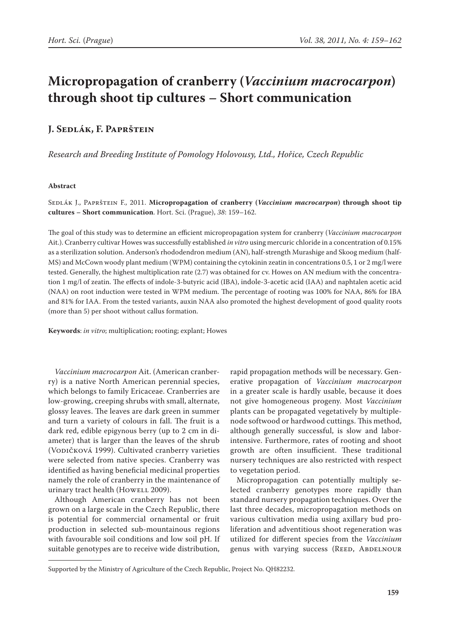# **Micropropagation of cranberry (***Vaccinium macrocarpon***) through shoot tip cultures – Short communication**

## **J. Sedlák, F. Paprštein**

*Research and Breeding Institute of Pomology Holovousy, Ltd., Hořice, Czech Republic*

### **Abstract**

Sedlák J., Paprštein F., 2011. **Micropropagation of cranberry (***Vaccinium macrocarpon***) through shoot tip cultures – Short communication**. Hort. Sci. (Prague), *38*: 159–162.

The goal of this study was to determine an efficient micropropagation system for cranberry (*Vaccinium macrocarpon* Ait.). Cranberry cultivar Howes was successfully established *in vitro* using mercuric chloride in a concentration of 0.15% as a sterilization solution. Anderson's rhododendron medium (AN), half-strength Murashige and Skoog medium (half-MS) and McCown woody plant medium (WPM) containing the cytokinin zeatin in concentrations 0.5, 1 or 2 mg/l were tested. Generally, the highest multiplication rate (2.7) was obtained for cv. Howes on AN medium with the concentration 1 mg/l of zeatin. The effects of indole-3-butyric acid (IBA), indole-3-acetic acid (IAA) and naphtalen acetic acid (NAA) on root induction were tested in WPM medium. The percentage of rooting was 100% for NAA, 86% for IBA and 81% for IAA. From the tested variants, auxin NAA also promoted the highest development of good quality roots (more than 5) per shoot without callus formation.

**Keywords**: *in vitro*; multiplication; rooting; explant; Howes

*Vaccinium macrocarpon* Ait. (American cranberry) is a native North American perennial species, which belongs to family Ericaceae. Cranberries are low-growing, creeping shrubs with small, alternate, glossy leaves. The leaves are dark green in summer and turn a variety of colours in fall. The fruit is a dark red, edible epigynous berry (up to 2 cm in diameter) that is larger than the leaves of the shrub (Vodičková 1999). Cultivated cranberry varieties were selected from native species. Cranberry was identified as having beneficial medicinal properties namely the role of cranberry in the maintenance of urinary tract health (Howell 2009).

Although American cranberry has not been grown on a large scale in the Czech Republic, there is potential for commercial ornamental or fruit production in selected sub-mountainous regions with favourable soil conditions and low soil pH. If suitable genotypes are to receive wide distribution,

rapid propagation methods will be necessary. Generative propagation of *Vaccinium macrocarpon* in a greater scale is hardly usable, because it does not give homogeneous progeny. Most *Vaccinium* plants can be propagated vegetatively by multiplenode softwood or hardwood cuttings. This method, although generally successful, is slow and laborintensive. Furthermore, rates of rooting and shoot growth are often insufficient. These traditional nursery techniques are also restricted with respect to vegetation period.

Micropropagation can potentially multiply selected cranberry genotypes more rapidly than standard nursery propagation techniques. Over the last three decades, micropropagation methods on various cultivation media using axillary bud proliferation and adventitious shoot regeneration was utilized for different species from the *Vaccinium* genus with varying success (REED, ABDELNOUR

Supported by the Ministry of Agriculture of the Czech Republic, Project No. QH82232.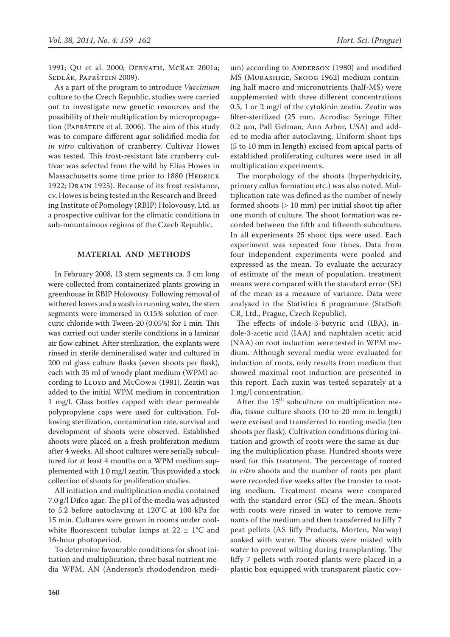1991; Qu et al. 2000; Debnath, McRae 2001a; Sedlák, Paprštein 2009).

As a part of the program to introduce *Vaccinium* culture to the Czech Republic, studies were carried out to investigate new genetic resources and the possibility of their multiplication by micropropagation (Paprštein et al. 2006). The aim of this study was to compare different agar solidified media for *in vitro* cultivation of cranberry. Cultivar Howes was tested. This frost-resistant late cranberry cultivar was selected from the wild by Elias Howes in Massachusetts some time prior to 1880 (HEDRICK 1922; DRAIN 1925). Because of its frost resistance, cv. Howes is being tested in the Research and Breeding Institute of Pomology (RBIP) Holovousy, Ltd. as a prospective cultivar for the climatic conditions in sub-mountainous regions of the Czech Republic.

### **Material and Methods**

In February 2008, 13 stem segments ca. 3 cm long were collected from containerized plants growing in greenhouse in RBIP Holovousy. Following removal of withered leaves and a wash in running water, the stem segments were immersed in 0.15% solution of mercuric chloride with Tween-20 (0.05%) for 1 min. This was carried out under sterile conditions in a laminar air flow cabinet*.* After sterilization, the explants were rinsed in sterile demineralised water and cultured in 200 ml glass culture flasks (seven shoots per flask), each with 35 ml of woody plant medium (WPM) according to LLOYD and McCown (1981). Zeatin was added to the initial WPM medium in concentration 1 mg/l. Glass bottles capped with clear permeable polypropylene caps were used for cultivation. Following sterilization, contamination rate, survival and development of shoots were observed. Established shoots were placed on a fresh proliferation medium after 4 weeks. All shoot cultures were serially subcultured for at least 4 months on a WPM medium supplemented with 1.0 mg/l zeatin. This provided a stock collection of shoots for proliferation studies.

All initiation and multiplication media contained 7.0 g/l Difco agar. The pH of the media was adjusted to 5.2 before autoclaving at 120°C at 100 kPa for 15 min. Cultures were grown in rooms under coolwhite fluorescent tubular lamps at  $22 \pm 1$ °C and 16-hour photoperiod.

To determine favourable conditions for shoot initiation and multiplication, three basal nutrient media WPM, AN (Anderson's rhododendron medi-

um) according to ANDERSON (1980) and modified MS (Murashige, Skoog 1962) medium containing half macro and micronutrients (half-MS) were supplemented with three different concentrations 0.5, 1 or 2 mg/l of the cytokinin zeatin. Zeatin was filter-sterilized (25 mm, Acrodisc Syringe Filter 0.2 µm, Pall Gelman, Ann Arbor, USA) and added to media after autoclaving. Uniform shoot tips (5 to 10 mm in length) excised from apical parts of established proliferating cultures were used in all multiplication experiments.

The morphology of the shoots (hyperhydricity, primary callus formation etc.) was also noted. Multiplication rate was defined as the number of newly formed shoots  $(> 10$  mm) per initial shoot tip after one month of culture. The shoot formation was recorded between the fifth and fifteenth subculture. In all experiments 25 shoot tips were used. Each experiment was repeated four times. Data from four independent experiments were pooled and expressed as the mean. To evaluate the accuracy of estimate of the mean of population, treatment means were compared with the standard error (SE) of the mean as a measure of variance. Data were analysed in the Statistica 6 programme (StatSoft CR, Ltd., Prague, Czech Republic).

The effects of indole-3-butyric acid (IBA), indole-3-acetic acid (IAA) and naphtalen acetic acid (NAA) on root induction were tested in WPM medium. Although several media were evaluated for induction of roots, only results from medium that showed maximal root induction are presented in this report. Each auxin was tested separately at a 1 mg/l concentration.

After the  $15<sup>th</sup>$  subculture on multiplication media, tissue culture shoots (10 to 20 mm in length) were excised and transferred to rooting media (ten shoots per flask). Cultivation conditions during initiation and growth of roots were the same as during the multiplication phase. Hundred shoots were used for this treatment. The percentage of rooted *in vitro* shoots and the number of roots per plant were recorded five weeks after the transfer to rooting medium. Treatment means were compared with the standard error (SE) of the mean. Shoots with roots were rinsed in water to remove remnants of the medium and then transferred to Jiffy 7 peat pellets (AS Jiffy Products, Morten, Norway) soaked with water. The shoots were misted with water to prevent wilting during transplanting. The Jiffy 7 pellets with rooted plants were placed in a plastic box equipped with transparent plastic cov-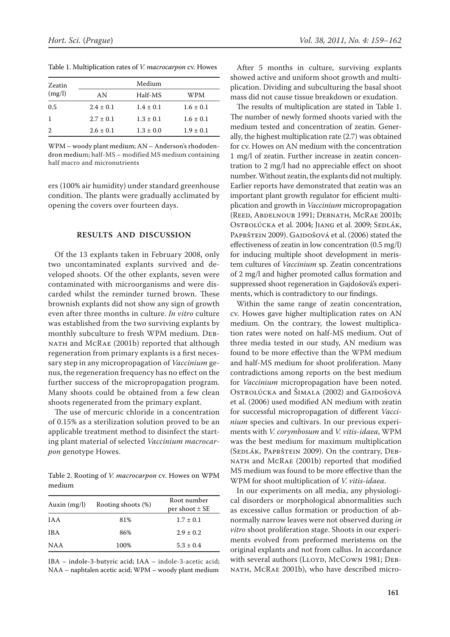| Zeatin<br>(mg/l) | Medium        |               |               |
|------------------|---------------|---------------|---------------|
|                  | AN            | Half-MS       | WPM           |
| 0.5              | $2.4 \pm 0.1$ | $1.4 \pm 0.1$ | $1.6 \pm 0.1$ |
| -1               | $2.7 \pm 0.1$ | $1.3 \pm 0.1$ | $1.6 \pm 0.1$ |
| 2                | $2.6 \pm 0.1$ | $1.3 \pm 0.0$ | $1.9 \pm 0.1$ |
|                  |               |               |               |

Table 1. Multiplication rates of *V. macrocarpon* cv. Howes

WPM – woody plant medium; AN – Anderson's rhododendron medium; half-MS – modified MS medium containing half macro and micronutrients

ers (100% air humidity) under standard greenhouse condition. The plants were gradually acclimated by opening the covers over fourteen days.

### **Results and Discussion**

Of the 13 explants taken in February 2008, only two uncontaminated explants survived and developed shoots. Of the other explants, seven were contaminated with microorganisms and were discarded whilst the reminder turned brown. These brownish explants did not show any sign of growth even after three months in culture. *In vitro* culture was established from the two surviving explants by monthly subculture to fresh WPM medium. Deb-NATH and MCRAE (2001b) reported that although regeneration from primary explants is a first necessary step in any micropropagation of *Vaccinium* genus, the regeneration frequency has no effect on the further success of the micropropagation program. Many shoots could be obtained from a few clean shoots regenerated from the primary explant.

The use of mercuric chloride in a concentration of 0.15% as a sterilization solution proved to be an applicable treatment method to disinfect the starting plant material of selected *Vaccinium macrocarpon* genotype Howes.

Table 2. Rooting of *V. macrocarpon* cv. Howes on WPM medium

| Auxin $(mg/l)$ | Rooting shoots (%) | Root number<br>per shoot $\pm$ SE |
|----------------|--------------------|-----------------------------------|
| <b>IAA</b>     | 81%                | $1.7 \pm 0.1$                     |
| <b>IBA</b>     | 86%                | $2.9 \pm 0.2$                     |
| <b>NAA</b>     | 100%               | $5.3 \pm 0.4$                     |

IBA – indole-3-butyric acid; IAA – indole-3-acetic acid; NAA – naphtalen acetic acid; WPM – woody plant medium

After 5 months in culture, surviving explants showed active and uniform shoot growth and multiplication. Dividing and subculturing the basal shoot mass did not cause tissue breakdown or exudation.

The results of multiplication are stated in Table 1. The number of newly formed shoots varied with the medium tested and concentration of zeatin. Generally, the highest multiplication rate (2.7) was obtained for cv. Howes on AN medium with the concentration 1 mg/l of zeatin. Further increase in zeatin concentration to 2 mg/l had no appreciable effect on shoot number. Without zeatin, the explants did not multiply. Earlier reports have demonstrated that zeatin was an important plant growth regulator for efficient multiplication and growth in *Vaccinium* micropropagation (Reed, Abdelnour 1991; Debnath, McRae 2001b; OSTROLÚCKA et al. 2004; JIANG et al. 2009; SEDLÁK, PAPRŠTEIN 2009). GAJDOŠOVÁ et al. (2006) stated the effectiveness of zeatin in low concentration (0.5 mg/l) for inducing multiple shoot development in meristem cultures of *Vaccinium* sp. Zeatin concentrations of 2 mg/l and higher promoted callus formation and suppressed shoot regeneration in Gajdošová's experiments, which is contradictory to our findings.

Within the same range of zeatin concentration, cv. Howes gave higher multiplication rates on AN medium. On the contrary, the lowest multiplication rates were noted on half-MS medium. Out of three media tested in our study, AN medium was found to be more effective than the WPM medium and half-MS medium for shoot proliferation. Many contradictions among reports on the best medium for *Vaccinium* micropropagation have been noted. Ostrolúcka and Šimala (2002) and Gajdošová et al. (2006) used modified AN medium with zeatin for successful micropropagation of different *Vaccinium* species and cultivars. In our previous experiments with *V. corymbosum* and *V. vitis-idaea*, WPM was the best medium for maximum multiplication (Sedlák, Paprštein 2009). On the contrary, Debnath and McRae (2001b) reported that modified MS medium was found to be more effective than the WPM for shoot multiplication of *V. vitis-idaea*.

In our experiments on all media, any physiological disorders or morphological abnormalities such as excessive callus formation or production of abnormally narrow leaves were not observed during *in vitro* shoot proliferation stage. Shoots in our experiments evolved from preformed meristems on the original explants and not from callus. In accordance with several authors (LLOYD, McCown 1981; DEBnath, McRae 2001b), who have described micro